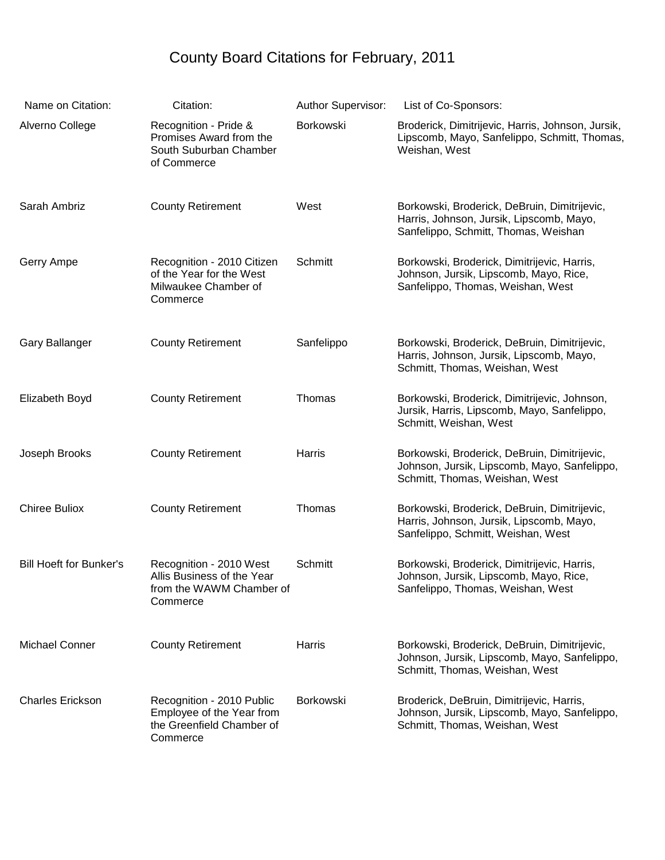## County Board Citations for February, 2011

| Name on Citation:              | Citation:                                                                                       | Author Supervisor: | List of Co-Sponsors:                                                                                                             |
|--------------------------------|-------------------------------------------------------------------------------------------------|--------------------|----------------------------------------------------------------------------------------------------------------------------------|
| Alverno College                | Recognition - Pride &<br>Promises Award from the<br>South Suburban Chamber<br>of Commerce       | Borkowski          | Broderick, Dimitrijevic, Harris, Johnson, Jursik,<br>Lipscomb, Mayo, Sanfelippo, Schmitt, Thomas,<br>Weishan, West               |
| Sarah Ambriz                   | <b>County Retirement</b>                                                                        | West               | Borkowski, Broderick, DeBruin, Dimitrijevic,<br>Harris, Johnson, Jursik, Lipscomb, Mayo,<br>Sanfelippo, Schmitt, Thomas, Weishan |
| Gerry Ampe                     | Recognition - 2010 Citizen<br>of the Year for the West<br>Milwaukee Chamber of<br>Commerce      | Schmitt            | Borkowski, Broderick, Dimitrijevic, Harris,<br>Johnson, Jursik, Lipscomb, Mayo, Rice,<br>Sanfelippo, Thomas, Weishan, West       |
| Gary Ballanger                 | <b>County Retirement</b>                                                                        | Sanfelippo         | Borkowski, Broderick, DeBruin, Dimitrijevic,<br>Harris, Johnson, Jursik, Lipscomb, Mayo,<br>Schmitt, Thomas, Weishan, West       |
| Elizabeth Boyd                 | <b>County Retirement</b>                                                                        | Thomas             | Borkowski, Broderick, Dimitrijevic, Johnson,<br>Jursik, Harris, Lipscomb, Mayo, Sanfelippo,<br>Schmitt, Weishan, West            |
| Joseph Brooks                  | <b>County Retirement</b>                                                                        | Harris             | Borkowski, Broderick, DeBruin, Dimitrijevic,<br>Johnson, Jursik, Lipscomb, Mayo, Sanfelippo,<br>Schmitt, Thomas, Weishan, West   |
| <b>Chiree Buliox</b>           | <b>County Retirement</b>                                                                        | Thomas             | Borkowski, Broderick, DeBruin, Dimitrijevic,<br>Harris, Johnson, Jursik, Lipscomb, Mayo,<br>Sanfelippo, Schmitt, Weishan, West   |
| <b>Bill Hoeft for Bunker's</b> | Recognition - 2010 West<br>Allis Business of the Year<br>from the WAWM Chamber of<br>Commerce   | Schmitt            | Borkowski, Broderick, Dimitrijevic, Harris,<br>Johnson, Jursik, Lipscomb, Mayo, Rice,<br>Sanfelippo, Thomas, Weishan, West       |
| <b>Michael Conner</b>          | <b>County Retirement</b>                                                                        | Harris             | Borkowski, Broderick, DeBruin, Dimitrijevic,<br>Johnson, Jursik, Lipscomb, Mayo, Sanfelippo,<br>Schmitt, Thomas, Weishan, West   |
| <b>Charles Erickson</b>        | Recognition - 2010 Public<br>Employee of the Year from<br>the Greenfield Chamber of<br>Commerce | <b>Borkowski</b>   | Broderick, DeBruin, Dimitrijevic, Harris,<br>Johnson, Jursik, Lipscomb, Mayo, Sanfelippo,<br>Schmitt, Thomas, Weishan, West      |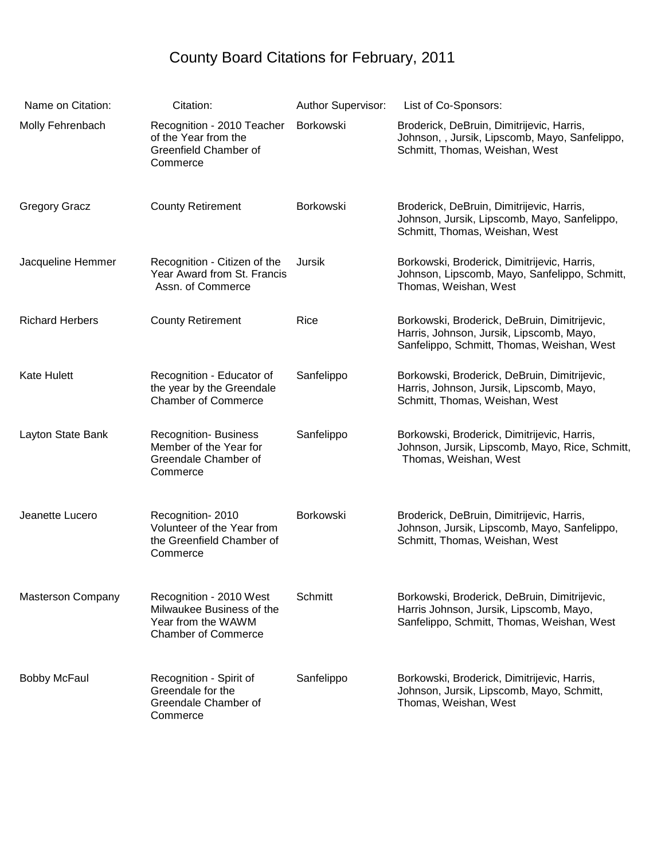## County Board Citations for February, 2011

| Name on Citation:        | Citation:                                                                                                | <b>Author Supervisor:</b> | List of Co-Sponsors:                                                                                                                   |
|--------------------------|----------------------------------------------------------------------------------------------------------|---------------------------|----------------------------------------------------------------------------------------------------------------------------------------|
| Molly Fehrenbach         | Recognition - 2010 Teacher<br>of the Year from the<br>Greenfield Chamber of<br>Commerce                  | Borkowski                 | Broderick, DeBruin, Dimitrijevic, Harris,<br>Johnson, , Jursik, Lipscomb, Mayo, Sanfelippo,<br>Schmitt, Thomas, Weishan, West          |
| <b>Gregory Gracz</b>     | <b>County Retirement</b>                                                                                 | Borkowski                 | Broderick, DeBruin, Dimitrijevic, Harris,<br>Johnson, Jursik, Lipscomb, Mayo, Sanfelippo,<br>Schmitt, Thomas, Weishan, West            |
| Jacqueline Hemmer        | Recognition - Citizen of the<br>Year Award from St. Francis<br>Assn. of Commerce                         | Jursik                    | Borkowski, Broderick, Dimitrijevic, Harris,<br>Johnson, Lipscomb, Mayo, Sanfelippo, Schmitt,<br>Thomas, Weishan, West                  |
| <b>Richard Herbers</b>   | <b>County Retirement</b>                                                                                 | Rice                      | Borkowski, Broderick, DeBruin, Dimitrijevic,<br>Harris, Johnson, Jursik, Lipscomb, Mayo,<br>Sanfelippo, Schmitt, Thomas, Weishan, West |
| <b>Kate Hulett</b>       | Recognition - Educator of<br>the year by the Greendale<br><b>Chamber of Commerce</b>                     | Sanfelippo                | Borkowski, Broderick, DeBruin, Dimitrijevic,<br>Harris, Johnson, Jursik, Lipscomb, Mayo,<br>Schmitt, Thomas, Weishan, West             |
| Layton State Bank        | <b>Recognition- Business</b><br>Member of the Year for<br>Greendale Chamber of<br>Commerce               | Sanfelippo                | Borkowski, Broderick, Dimitrijevic, Harris,<br>Johnson, Jursik, Lipscomb, Mayo, Rice, Schmitt,<br>Thomas, Weishan, West                |
| Jeanette Lucero          | Recognition-2010<br>Volunteer of the Year from<br>the Greenfield Chamber of<br>Commerce                  | Borkowski                 | Broderick, DeBruin, Dimitrijevic, Harris,<br>Johnson, Jursik, Lipscomb, Mayo, Sanfelippo,<br>Schmitt, Thomas, Weishan, West            |
| <b>Masterson Company</b> | Recognition - 2010 West<br>Milwaukee Business of the<br>Year from the WAWM<br><b>Chamber of Commerce</b> | Schmitt                   | Borkowski, Broderick, DeBruin, Dimitrijevic,<br>Harris Johnson, Jursik, Lipscomb, Mayo,<br>Sanfelippo, Schmitt, Thomas, Weishan, West  |
| <b>Bobby McFaul</b>      | Recognition - Spirit of<br>Greendale for the<br>Greendale Chamber of<br>Commerce                         | Sanfelippo                | Borkowski, Broderick, Dimitrijevic, Harris,<br>Johnson, Jursik, Lipscomb, Mayo, Schmitt,<br>Thomas, Weishan, West                      |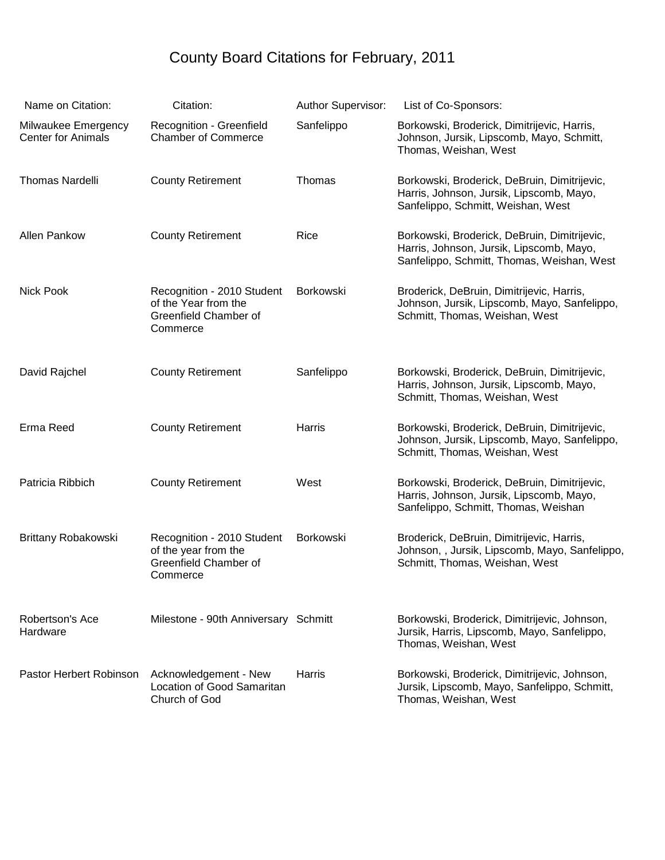## County Board Citations for February, 2011

| Name on Citation:                                | Citation:                                                                               | <b>Author Supervisor:</b> | List of Co-Sponsors:                                                                                                                   |
|--------------------------------------------------|-----------------------------------------------------------------------------------------|---------------------------|----------------------------------------------------------------------------------------------------------------------------------------|
| Milwaukee Emergency<br><b>Center for Animals</b> | Recognition - Greenfield<br><b>Chamber of Commerce</b>                                  | Sanfelippo                | Borkowski, Broderick, Dimitrijevic, Harris,<br>Johnson, Jursik, Lipscomb, Mayo, Schmitt,<br>Thomas, Weishan, West                      |
| <b>Thomas Nardelli</b>                           | <b>County Retirement</b>                                                                | Thomas                    | Borkowski, Broderick, DeBruin, Dimitrijevic,<br>Harris, Johnson, Jursik, Lipscomb, Mayo,<br>Sanfelippo, Schmitt, Weishan, West         |
| Allen Pankow                                     | <b>County Retirement</b>                                                                | Rice                      | Borkowski, Broderick, DeBruin, Dimitrijevic,<br>Harris, Johnson, Jursik, Lipscomb, Mayo,<br>Sanfelippo, Schmitt, Thomas, Weishan, West |
| <b>Nick Pook</b>                                 | Recognition - 2010 Student<br>of the Year from the<br>Greenfield Chamber of<br>Commerce | <b>Borkowski</b>          | Broderick, DeBruin, Dimitrijevic, Harris,<br>Johnson, Jursik, Lipscomb, Mayo, Sanfelippo,<br>Schmitt, Thomas, Weishan, West            |
| David Rajchel                                    | <b>County Retirement</b>                                                                | Sanfelippo                | Borkowski, Broderick, DeBruin, Dimitrijevic,<br>Harris, Johnson, Jursik, Lipscomb, Mayo,<br>Schmitt, Thomas, Weishan, West             |
| Erma Reed                                        | <b>County Retirement</b>                                                                | Harris                    | Borkowski, Broderick, DeBruin, Dimitrijevic,<br>Johnson, Jursik, Lipscomb, Mayo, Sanfelippo,<br>Schmitt, Thomas, Weishan, West         |
| Patricia Ribbich                                 | <b>County Retirement</b>                                                                | West                      | Borkowski, Broderick, DeBruin, Dimitrijevic,<br>Harris, Johnson, Jursik, Lipscomb, Mayo,<br>Sanfelippo, Schmitt, Thomas, Weishan       |
| Brittany Robakowski                              | Recognition - 2010 Student<br>of the year from the<br>Greenfield Chamber of<br>Commerce | Borkowski                 | Broderick, DeBruin, Dimitrijevic, Harris,<br>Johnson, , Jursik, Lipscomb, Mayo, Sanfelippo,<br>Schmitt, Thomas, Weishan, West          |
| Robertson's Ace<br>Hardware                      | Milestone - 90th Anniversary Schmitt                                                    |                           | Borkowski, Broderick, Dimitrijevic, Johnson,<br>Jursik, Harris, Lipscomb, Mayo, Sanfelippo,<br>Thomas, Weishan, West                   |
| Pastor Herbert Robinson                          | Acknowledgement - New<br><b>Location of Good Samaritan</b><br>Church of God             | Harris                    | Borkowski, Broderick, Dimitrijevic, Johnson,<br>Jursik, Lipscomb, Mayo, Sanfelippo, Schmitt,<br>Thomas, Weishan, West                  |